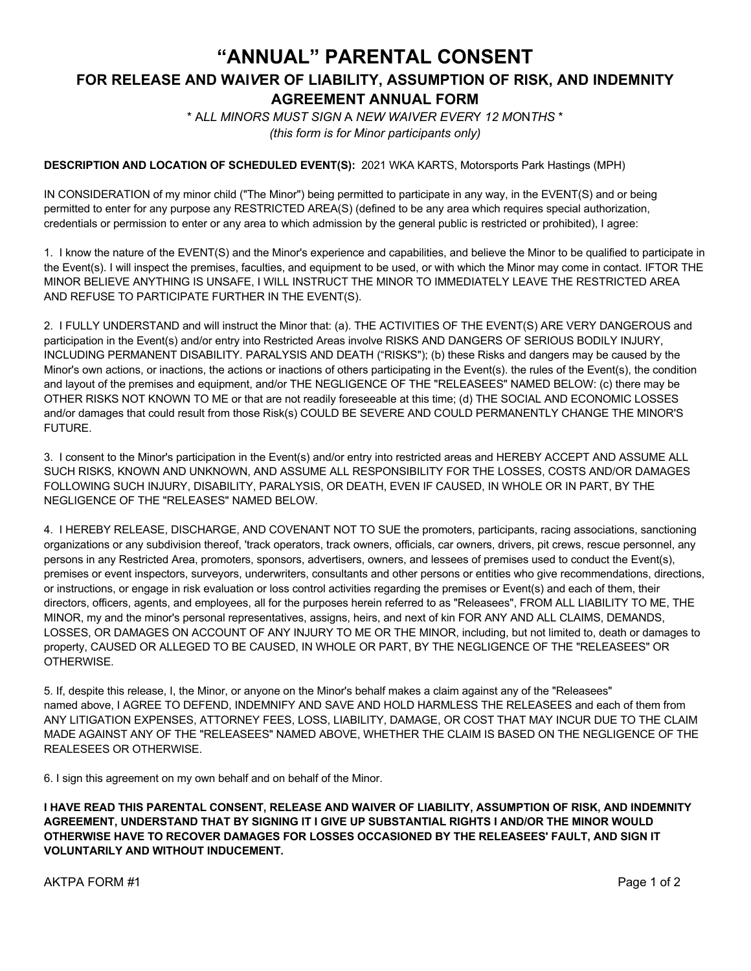## **"ANNUAL" PARENTAL CONSENT FOR RELEASE AND WAI***V***ER OF LIABILITY, ASSUMPTION OF RISK, AND INDEMNITY AGREEMENT ANNUAL FORM**

\* A*LL MINORS MUST SIGN* A *NEW WAIVER EVER*Y *12 MO*N*THS* \* *(this form is for Minor participants only)*

#### **DESCRIPTION AND LOCATION OF SCHEDULED EVENT(S):** 2021 WKA KARTS, Motorsports Park Hastings (MPH)

IN CONSIDERATION of my minor child ("The Minor") being permitted to participate in any way, in the EVENT(S) and or being permitted to enter for any purpose any RESTRICTED AREA(S) (defined to be any area which requires special authorization, credentials or permission to enter or any area to which admission by the general public is restricted or prohibited), I agree:

1. I know the nature of the EVENT(S) and the Minor's experience and capabilities, and believe the Minor to be qualified to participate in the Event(s). I will inspect the premises, faculties, and equipment to be used, or with which the Minor may come in contact. IFTOR THE MINOR BELIEVE ANYTHING IS UNSAFE, I WILL INSTRUCT THE MINOR TO IMMEDIATELY LEAVE THE RESTRICTED AREA AND REFUSE TO PARTICIPATE FURTHER IN THE EVENT(S).

2. I FULLY UNDERSTAND and will instruct the Minor that: (a). THE ACTIVITIES OF THE EVENT(S) ARE VERY DANGEROUS and participation in the Event(s) and/or entry into Restricted Areas involve RISKS AND DANGERS OF SERIOUS BODILY INJURY, INCLUDING PERMANENT DISABILITY. PARALYSIS AND DEATH ("RISKS"); (b) these Risks and dangers may be caused by the Minor's own actions, or inactions, the actions or inactions of others participating in the Event(s). the rules of the Event(s), the condition and layout of the premises and equipment, and/or THE NEGLIGENCE OF THE "RELEASEES" NAMED BELOW: (c) there may be OTHER RISKS NOT KNOWN TO ME or that are not readily foreseeable at this time; (d) THE SOCIAL AND ECONOMIC LOSSES and/or damages that could result from those Risk(s) COULD BE SEVERE AND COULD PERMANENTLY CHANGE THE MINOR'S FUTURE.

3. I consent to the Minor's participation in the Event(s) and/or entry into restricted areas and HEREBY ACCEPT AND ASSUME ALL SUCH RISKS, KNOWN AND UNKNOWN, AND ASSUME ALL RESPONSIBILITY FOR THE LOSSES, COSTS AND/OR DAMAGES FOLLOWING SUCH INJURY, DISABILITY, PARALYSIS, OR DEATH, EVEN IF CAUSED, IN WHOLE OR IN PART, BY THE NEGLIGENCE OF THE "RELEASES" NAMED BELOW.

4. I HEREBY RELEASE, DISCHARGE, AND COVENANT NOT TO SUE the promoters, participants, racing associations, sanctioning organizations or any subdivision thereof, 'track operators, track owners, officials, car owners, drivers, pit crews, rescue personnel, any persons in any Restricted Area, promoters, sponsors, advertisers, owners, and lessees of premises used to conduct the Event(s), premises or event inspectors, surveyors, underwriters, consultants and other persons or entities who give recommendations, directions, or instructions, or engage in risk evaluation or loss control activities regarding the premises or Event(s) and each of them, their directors, officers, agents, and employees, all for the purposes herein referred to as "Releasees", FROM ALL LIABILITY TO ME, THE MINOR, my and the minor's personal representatives, assigns, heirs, and next of kin FOR ANY AND ALL CLAIMS, DEMANDS, LOSSES, OR DAMAGES ON ACCOUNT OF ANY INJURY TO ME OR THE MINOR, including, but not limited to, death or damages to property, CAUSED OR ALLEGED TO BE CAUSED, IN WHOLE OR PART, BY THE NEGLIGENCE OF THE "RELEASEES" OR OTHERWISE.

5. If, despite this release, I, the Minor, or anyone on the Minor's behalf makes a claim against any of the "Releasees" named above, I AGREE TO DEFEND, INDEMNIFY AND SAVE AND HOLD HARMLESS THE RELEASEES and each of them from ANY LITIGATION EXPENSES, ATTORNEY FEES, LOSS, LIABILITY, DAMAGE, OR COST THAT MAY INCUR DUE TO THE CLAIM MADE AGAINST ANY OF THE "RELEASEES" NAMED ABOVE, WHETHER THE CLAIM IS BASED ON THE NEGLIGENCE OF THE REALESEES OR OTHERWISE.

6. I sign this agreement on my own behalf and on behalf of the Minor.

**I HAVE READ THIS PARENTAL CONSENT, RELEASE AND WAIVER OF LIABILITY, ASSUMPTION OF RISK, AND INDEMNITY AGREEMENT, UNDERSTAND THAT BY SIGNING IT I GIVE UP SUBSTANTIAL RIGHTS I AND/OR THE MINOR WOULD OTHERWISE HAVE TO RECOVER DAMAGES FOR LOSSES OCCASIONED BY THE RELEASEES' FAULT, AND SIGN IT VOLUNTARILY AND WITHOUT INDUCEMENT.** 

AKTPA FORM #1 Page 1 of 2